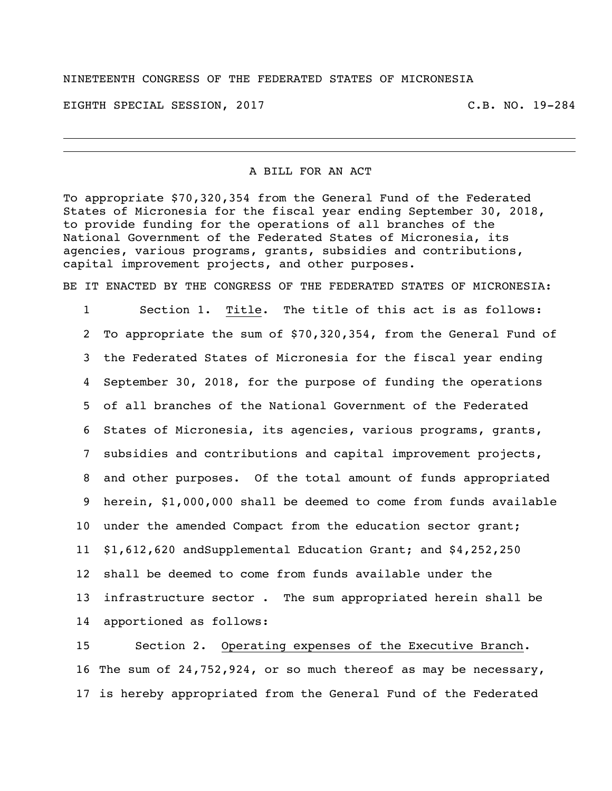#### NINETEENTH CONGRESS OF THE FEDERATED STATES OF MICRONESIA

EIGHTH SPECIAL SESSION, 2017 C.B. NO. 19-284

#### A BILL FOR AN ACT

To appropriate \$70,320,354 from the General Fund of the Federated States of Micronesia for the fiscal year ending September 30, 2018, to provide funding for the operations of all branches of the National Government of the Federated States of Micronesia, its agencies, various programs, grants, subsidies and contributions, capital improvement projects, and other purposes.

BE IT ENACTED BY THE CONGRESS OF THE FEDERATED STATES OF MICRONESIA:

 Section 1. Title. The title of this act is as follows: To appropriate the sum of \$70,320,354, from the General Fund of the Federated States of Micronesia for the fiscal year ending September 30, 2018, for the purpose of funding the operations of all branches of the National Government of the Federated States of Micronesia, its agencies, various programs, grants, subsidies and contributions and capital improvement projects, and other purposes. Of the total amount of funds appropriated herein, \$1,000,000 shall be deemed to come from funds available under the amended Compact from the education sector grant; \$1,612,620 andSupplemental Education Grant; and \$4,252,250 shall be deemed to come from funds available under the infrastructure sector . The sum appropriated herein shall be apportioned as follows:

 Section 2. Operating expenses of the Executive Branch. The sum of 24,752,924, or so much thereof as may be necessary, is hereby appropriated from the General Fund of the Federated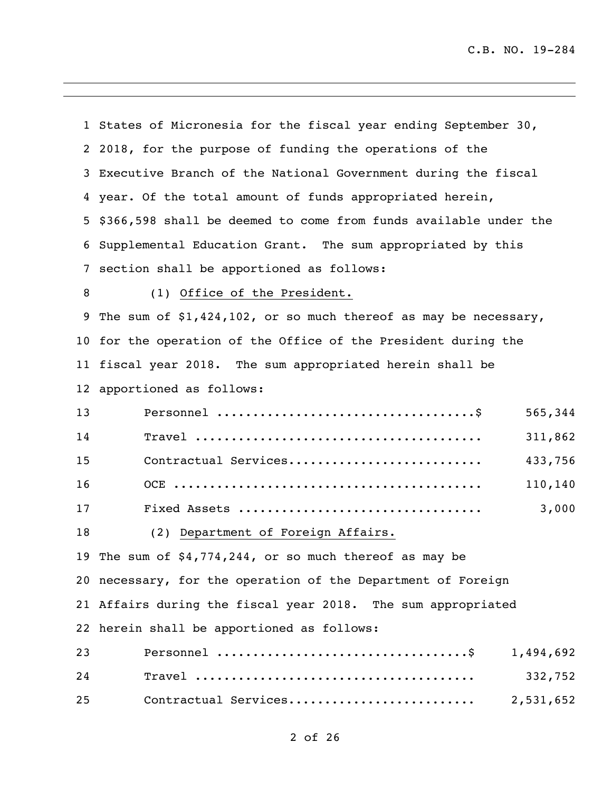|                 | 1 States of Micronesia for the fiscal year ending September 30,   |  |
|-----------------|-------------------------------------------------------------------|--|
|                 | 2 2018, for the purpose of funding the operations of the          |  |
|                 | 3 Executive Branch of the National Government during the fiscal   |  |
|                 | 4 year. Of the total amount of funds appropriated herein,         |  |
| 5               | \$366,598 shall be deemed to come from funds available under the  |  |
|                 | 6 Supplemental Education Grant. The sum appropriated by this      |  |
| $7\phantom{.0}$ | section shall be apportioned as follows:                          |  |
| 8               | (1) Office of the President.                                      |  |
| 9               | The sum of $$1,424,102$ , or so much thereof as may be necessary, |  |
|                 | 10 for the operation of the Office of the President during the    |  |
|                 | 11 fiscal year 2018. The sum appropriated herein shall be         |  |
|                 | 12 apportioned as follows:                                        |  |
| 13              | 565,344                                                           |  |
| 14              | 311,862                                                           |  |
| 15              | Contractual Services<br>433,756                                   |  |
| 16              | 110,140                                                           |  |
| 17              | 3,000                                                             |  |
| 18              | (2) Department of Foreign Affairs.                                |  |
|                 | 19 The sum of \$4,774,244, or so much thereof as may be           |  |
|                 | 20 necessary, for the operation of the Department of Foreign      |  |
|                 | 21 Affairs during the fiscal year 2018. The sum appropriated      |  |
|                 | 22 herein shall be apportioned as follows:                        |  |
| 23              | 1,494,692                                                         |  |
| 24              | 332,752                                                           |  |
| 25              | Contractual Services<br>2,531,652                                 |  |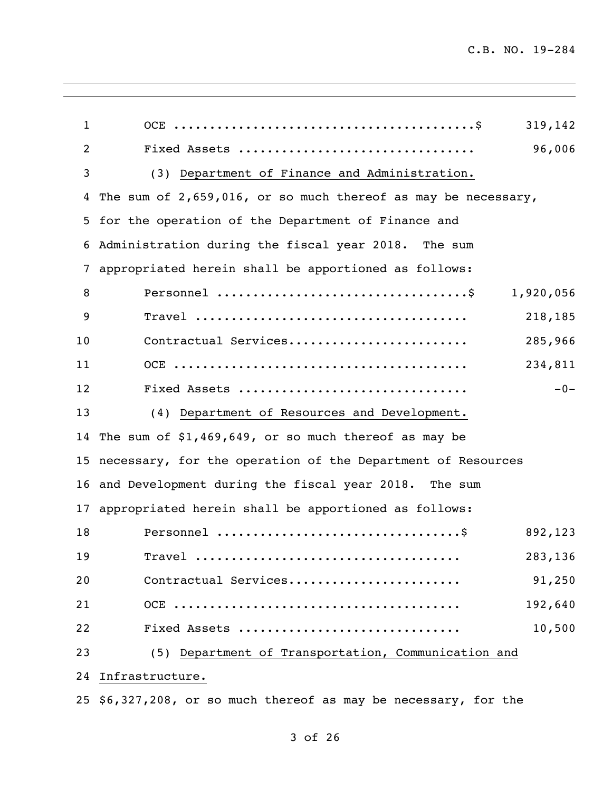| 1  | 319,142                                                                                                        |
|----|----------------------------------------------------------------------------------------------------------------|
| 2  | 96,006<br>Fixed Assets                                                                                         |
| 3  | (3) Department of Finance and Administration.                                                                  |
| 4  | The sum of 2,659,016, or so much thereof as may be necessary,                                                  |
| 5  | for the operation of the Department of Finance and                                                             |
| 6  | Administration during the fiscal year 2018. The sum                                                            |
| 7  | appropriated herein shall be apportioned as follows:                                                           |
| 8  | 1,920,056                                                                                                      |
| 9  | $\texttt{Trace1}\texttt{ } \dots \dots \dots \dots \dots \dots \dots \dots \dots \dots \dots \dots$<br>218,185 |
| 10 | Contractual Services<br>285,966                                                                                |
| 11 | 234,811                                                                                                        |
| 12 | $-0-$<br>Fixed Assets                                                                                          |
| 13 | (4) Department of Resources and Development.                                                                   |
| 14 | The sum of $$1,469,649$ , or so much thereof as may be                                                         |
|    | 15 necessary, for the operation of the Department of Resources                                                 |
|    | 16 and Development during the fiscal year 2018. The sum                                                        |
| 17 | appropriated herein shall be apportioned as follows:                                                           |
| 18 | 892,123                                                                                                        |
| 19 | 283,136                                                                                                        |
| 20 | Contractual Services<br>91,250                                                                                 |
| 21 | 192,640                                                                                                        |
| 22 | 10,500<br>Fixed Assets                                                                                         |
| 23 | (5) Department of Transportation, Communication and                                                            |
| 24 | Infrastructure.                                                                                                |
|    | 25 \$6,327,208, or so much thereof as may be necessary, for the                                                |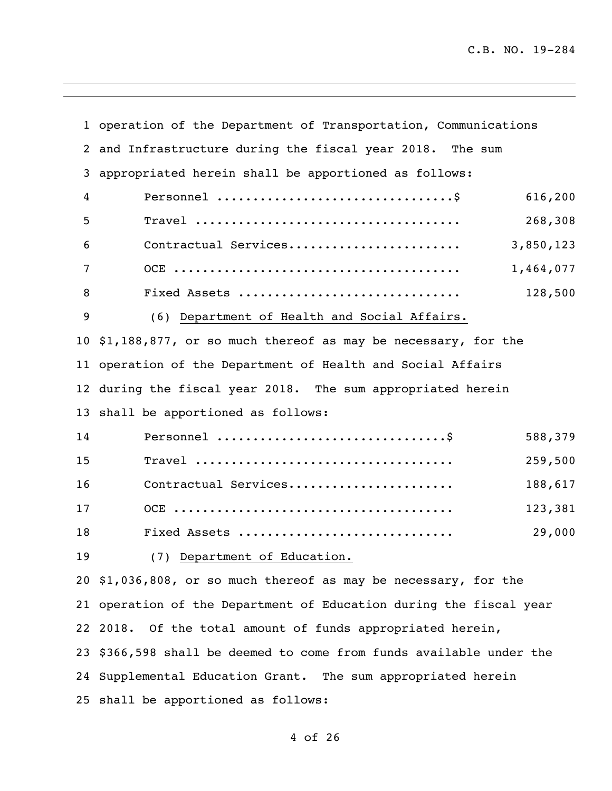|    | 1 operation of the Department of Transportation, Communications    |  |
|----|--------------------------------------------------------------------|--|
|    | 2 and Infrastructure during the fiscal year 2018. The sum          |  |
| 3  | appropriated herein shall be apportioned as follows:               |  |
| 4  | 616,200                                                            |  |
| 5  | 268,308                                                            |  |
| 6  | Contractual Services<br>3,850,123                                  |  |
| 7  | 1,464,077                                                          |  |
| 8  | 128,500<br>Fixed Assets                                            |  |
| 9  | (6) Department of Health and Social Affairs.                       |  |
|    | 10 \$1,188,877, or so much thereof as may be necessary, for the    |  |
|    | 11 operation of the Department of Health and Social Affairs        |  |
|    | 12 during the fiscal year 2018. The sum appropriated herein        |  |
|    | 13 shall be apportioned as follows:                                |  |
| 14 | 588,379                                                            |  |
| 15 | 259,500                                                            |  |
| 16 | Contractual Services<br>188,617                                    |  |
| 17 | 123,381                                                            |  |
| 18 | 29,000<br>Fixed Assets                                             |  |
| 19 | (7) Department of Education.                                       |  |
|    | 20 \$1,036,808, or so much thereof as may be necessary, for the    |  |
|    | 21 operation of the Department of Education during the fiscal year |  |
|    | 22 2018.<br>Of the total amount of funds appropriated herein,      |  |
| 23 | \$366,598 shall be deemed to come from funds available under the   |  |
|    | 24 Supplemental Education Grant. The sum appropriated herein       |  |
|    | 25 shall be apportioned as follows:                                |  |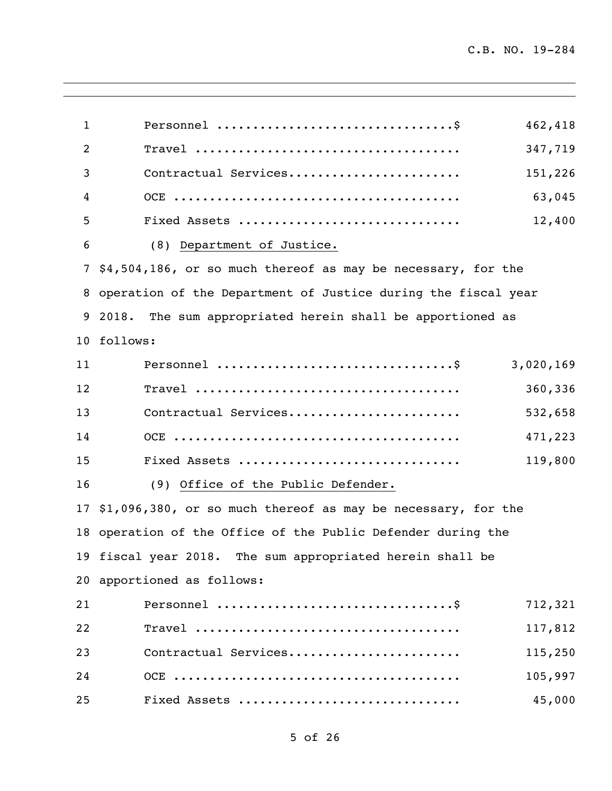| $\mathbf{1}$    | 462,418                                                       |
|-----------------|---------------------------------------------------------------|
| 2               | 347,719                                                       |
| 3               | Contractual Services<br>151,226                               |
| 4               | 63,045                                                        |
| 5               | Fixed Assets<br>12,400                                        |
| 6               | (8) Department of Justice.                                    |
| 7               | \$4,504,186, or so much thereof as may be necessary, for the  |
| 8               | operation of the Department of Justice during the fiscal year |
| 9               | 2018.<br>The sum appropriated herein shall be apportioned as  |
| 10 <sup>°</sup> | follows:                                                      |
| 11              | 3,020,169                                                     |
| 12              | 360,336                                                       |
| 13              | Contractual Services<br>532,658                               |
| 14              | 471,223                                                       |
| 15              | Fixed Assets<br>119,800                                       |
| 16              | (9) Office of the Public Defender.                            |
| 17              | \$1,096,380, or so much thereof as may be necessary, for the  |
|                 | 18 operation of the Office of the Public Defender during the  |
|                 | 19 fiscal year 2018. The sum appropriated herein shall be     |
|                 | 20 apportioned as follows:                                    |
| 21              | 712,321                                                       |
| 22              | 117,812                                                       |
| 23              | Contractual Services<br>115,250                               |
| 24              | 105,997                                                       |
| 25              | 45,000<br>Fixed Assets                                        |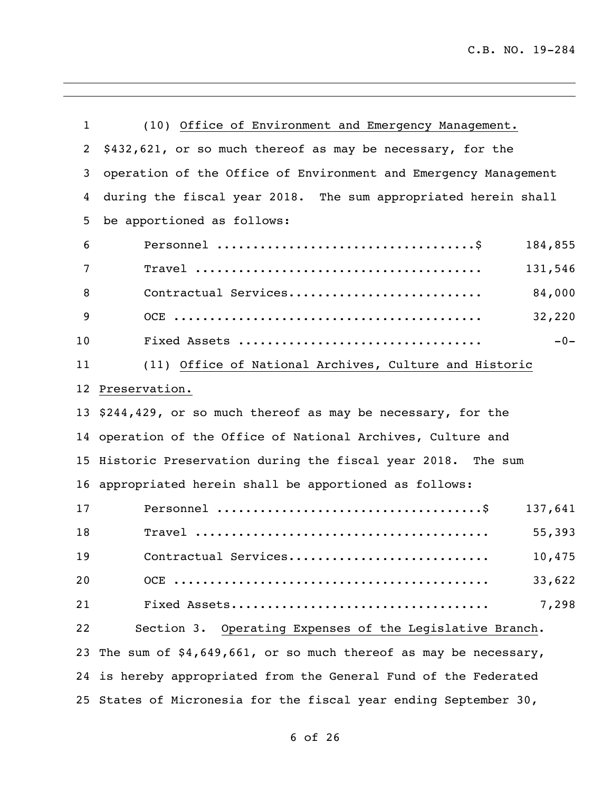| $\mathbf 1$     | (10) Office of Environment and Emergency Management.              |  |
|-----------------|-------------------------------------------------------------------|--|
| 2               | \$432,621, or so much thereof as may be necessary, for the        |  |
| 3               | operation of the Office of Environment and Emergency Management   |  |
| 4               | during the fiscal year 2018. The sum appropriated herein shall    |  |
| 5               | be apportioned as follows:                                        |  |
| 6               | 184,855                                                           |  |
| 7               | 131,546                                                           |  |
| 8               | 84,000<br>Contractual Services                                    |  |
| 9               | 32,220                                                            |  |
| 10              | $-0-$                                                             |  |
| 11              | (11) Office of National Archives, Culture and Historic            |  |
| 12 <sup>2</sup> | Preservation.                                                     |  |
|                 | 13 \$244,429, or so much thereof as may be necessary, for the     |  |
|                 | 14 operation of the Office of National Archives, Culture and      |  |
|                 | 15 Historic Preservation during the fiscal year 2018. The sum     |  |
|                 | 16 appropriated herein shall be apportioned as follows:           |  |
| 17              | 137,641                                                           |  |
| 18              | 55,393                                                            |  |
| 19              | 10,475<br>Contractual Services                                    |  |
| 20              | 33,622                                                            |  |
| 21              | 7,298                                                             |  |
| 22              | Section 3. Operating Expenses of the Legislative Branch.          |  |
| 23              | The sum of $$4,649,661$ , or so much thereof as may be necessary, |  |
|                 | 24 is hereby appropriated from the General Fund of the Federated  |  |
|                 | 25 States of Micronesia for the fiscal year ending September 30,  |  |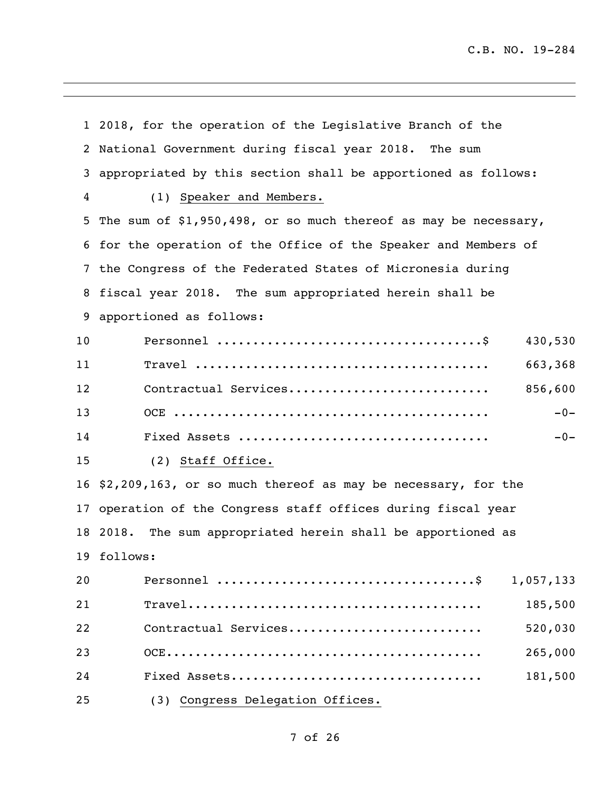|    | 1 2018, for the operation of the Legislative Branch of the        |  |
|----|-------------------------------------------------------------------|--|
|    | 2 National Government during fiscal year 2018. The sum            |  |
| 3  | appropriated by this section shall be apportioned as follows:     |  |
| 4  | (1) Speaker and Members.                                          |  |
|    | 5 The sum of \$1,950,498, or so much thereof as may be necessary, |  |
|    | 6 for the operation of the Office of the Speaker and Members of   |  |
|    | 7 the Congress of the Federated States of Micronesia during       |  |
| 8  | fiscal year 2018. The sum appropriated herein shall be            |  |
| 9  | apportioned as follows:                                           |  |
| 10 | 430,530                                                           |  |
| 11 | 663,368                                                           |  |
| 12 | Contractual Services<br>856,600                                   |  |
| 13 | $-0-$                                                             |  |
| 14 | $-0-$                                                             |  |
| 15 | (2) Staff Office.                                                 |  |
|    | 16 \$2,209,163, or so much thereof as may be necessary, for the   |  |
|    | 17 operation of the Congress staff offices during fiscal year     |  |
|    | The sum appropriated herein shall be apportioned as<br>18 2018.   |  |
|    | 19 follows:                                                       |  |
| 20 | 1,057,133                                                         |  |
| 21 | 185,500                                                           |  |
| 22 | Contractual Services<br>520,030                                   |  |
| 23 | 265,000                                                           |  |
| 24 | 181,500                                                           |  |
| 25 | (3) Congress Delegation Offices.                                  |  |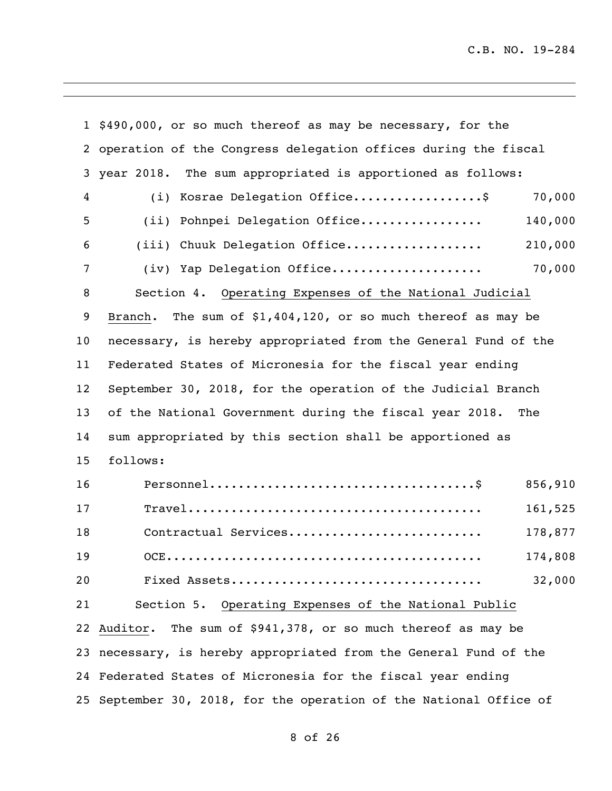|    | 1 \$490,000, or so much thereof as may be necessary, for the       |  |
|----|--------------------------------------------------------------------|--|
| 2  | operation of the Congress delegation offices during the fiscal     |  |
| 3  | year 2018. The sum appropriated is apportioned as follows:         |  |
| 4  | (i) Kosrae Delegation Office\$<br>70,000                           |  |
| 5  | (ii) Pohnpei Delegation Office<br>140,000                          |  |
| 6  | (iii) Chuuk Delegation Office<br>210,000                           |  |
| 7  | 70,000<br>(iv) Yap Delegation Office                               |  |
| 8  | Section 4. Operating Expenses of the National Judicial             |  |
| 9  | The sum of $$1,404,120$ , or so much thereof as may be<br>Branch.  |  |
| 10 | necessary, is hereby appropriated from the General Fund of the     |  |
| 11 | Federated States of Micronesia for the fiscal year ending          |  |
| 12 | September 30, 2018, for the operation of the Judicial Branch       |  |
| 13 | of the National Government during the fiscal year 2018.<br>The     |  |
| 14 | sum appropriated by this section shall be apportioned as           |  |
| 15 | follows:                                                           |  |
| 16 | 856,910                                                            |  |
| 17 | 161,525                                                            |  |
| 18 | Contractual Services<br>178,877                                    |  |
| 19 | 174,808                                                            |  |
| 20 | 32,000<br>Fixed Assets                                             |  |
| 21 | Section 5. Operating Expenses of the National Public               |  |
| 22 | Auditor. The sum of \$941,378, or so much thereof as may be        |  |
| 23 | necessary, is hereby appropriated from the General Fund of the     |  |
|    | 24 Federated States of Micronesia for the fiscal year ending       |  |
|    | 25 September 30, 2018, for the operation of the National Office of |  |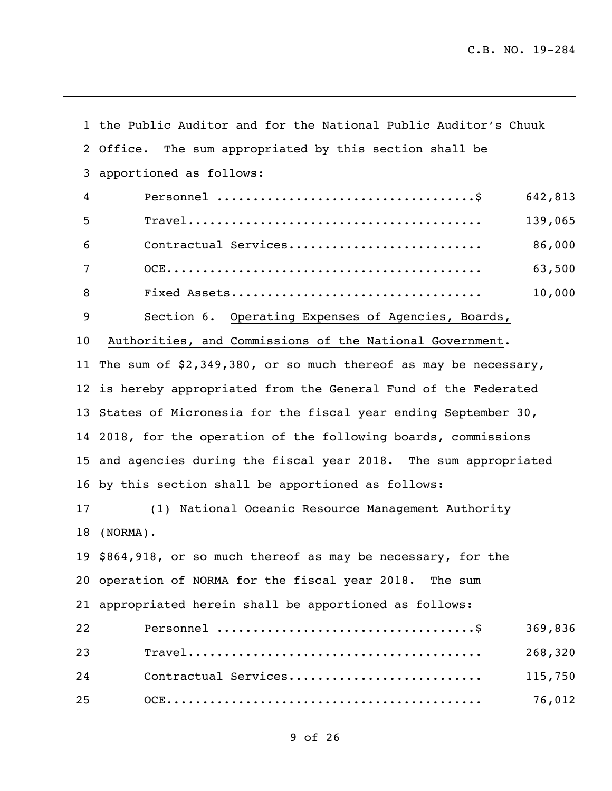|    | 1 the Public Auditor and for the National Public Auditor's Chuuk   |  |
|----|--------------------------------------------------------------------|--|
|    | 2 Office. The sum appropriated by this section shall be            |  |
| 3  | apportioned as follows:                                            |  |
| 4  | 642,813                                                            |  |
| 5  | 139,065                                                            |  |
| 6  | 86,000<br>Contractual Services                                     |  |
| 7  | 63,500                                                             |  |
| 8  | 10,000                                                             |  |
| 9  | Section 6. Operating Expenses of Agencies, Boards,                 |  |
| 10 | Authorities, and Commissions of the National Government.           |  |
|    | 11 The sum of \$2,349,380, or so much thereof as may be necessary, |  |
|    | 12 is hereby appropriated from the General Fund of the Federated   |  |
|    | 13 States of Micronesia for the fiscal year ending September 30,   |  |
|    | 14 2018, for the operation of the following boards, commissions    |  |
|    | 15 and agencies during the fiscal year 2018. The sum appropriated  |  |
|    | 16 by this section shall be apportioned as follows:                |  |
| 17 | (1) National Oceanic Resource Management Authority                 |  |
| 18 | $(NORMAL)$ .                                                       |  |
|    | 19 \$864,918, or so much thereof as may be necessary, for the      |  |
|    | 20 operation of NORMA for the fiscal year 2018. The sum            |  |
|    | 21 appropriated herein shall be apportioned as follows:            |  |
| 22 | 369,836                                                            |  |
| 23 | 268,320                                                            |  |
| 24 | Contractual Services<br>115,750                                    |  |
| 25 | 76,012                                                             |  |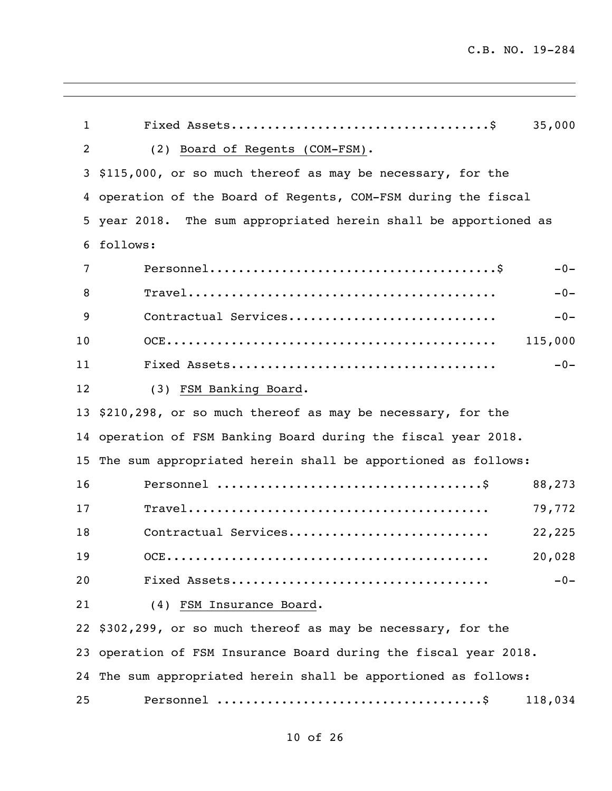| $\mathbf{1}$   | 35,000                                                           |  |
|----------------|------------------------------------------------------------------|--|
| $\overline{2}$ | (2) Board of Regents (COM-FSM).                                  |  |
| 3              | \$115,000, or so much thereof as may be necessary, for the       |  |
| 4              | operation of the Board of Regents, COM-FSM during the fiscal     |  |
| 5              | year 2018. The sum appropriated herein shall be apportioned as   |  |
| 6              | follows:                                                         |  |
| 7              | $-0-$                                                            |  |
| 8              | $-0-$                                                            |  |
| 9              | Contractual Services<br>$-0-$                                    |  |
| 10             | 115,000                                                          |  |
| 11             | $-0-$                                                            |  |
| 12             | (3) FSM Banking Board.                                           |  |
| 13             | \$210,298, or so much thereof as may be necessary, for the       |  |
| 14             | operation of FSM Banking Board during the fiscal year 2018.      |  |
| 15             | The sum appropriated herein shall be apportioned as follows:     |  |
| 16             | 88,273                                                           |  |
| 17             | 79,772                                                           |  |
| 18             | Contractual Services<br>22,225                                   |  |
| 19             | 20,028<br>$OCE \dots \dots$                                      |  |
| 20             | $-0-$                                                            |  |
| 21             | (4) FSM Insurance Board.                                         |  |
|                | 22 \$302,299, or so much thereof as may be necessary, for the    |  |
|                | 23 operation of FSM Insurance Board during the fiscal year 2018. |  |
|                | 24 The sum appropriated herein shall be apportioned as follows:  |  |
| 25             | 118,034                                                          |  |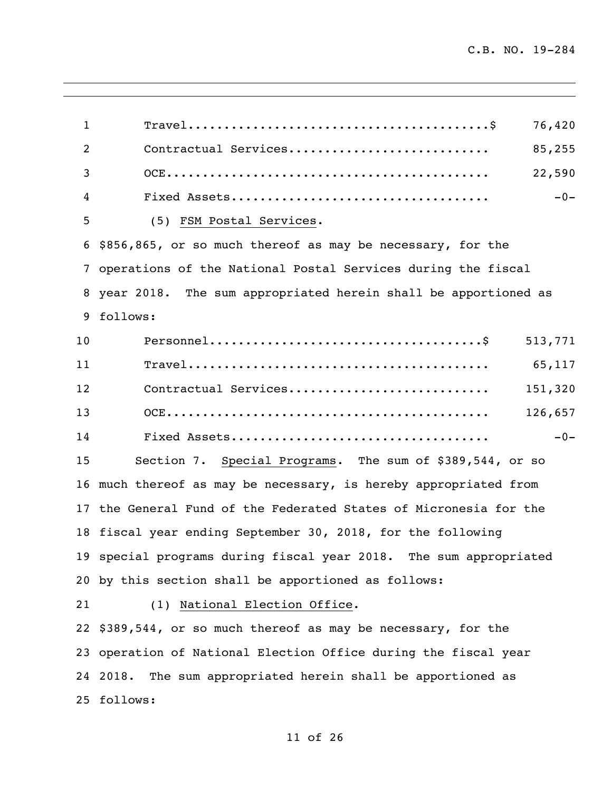Travel..........................................\$ 76,420 Contractual Services............................ 85,255 OCE............................................. 22,590 Fixed Assets.................................... -0- (5) FSM Postal Services. \$856,865, or so much thereof as may be necessary, for the operations of the National Postal Services during the fiscal year 2018. The sum appropriated herein shall be apportioned as follows: Personnel......................................\$ 513,771 Travel.......................................... 65,117 Contractual Services............................ 151,320 OCE............................................. 126,657 Fixed Assets.................................... -0- Section 7. Special Programs. The sum of \$389,544, or so much thereof as may be necessary, is hereby appropriated from the General Fund of the Federated States of Micronesia for the fiscal year ending September 30, 2018, for the following special programs during fiscal year 2018. The sum appropriated by this section shall be apportioned as follows: (1) National Election Office. \$389,544, or so much thereof as may be necessary, for the operation of National Election Office during the fiscal year 2018. The sum appropriated herein shall be apportioned as follows: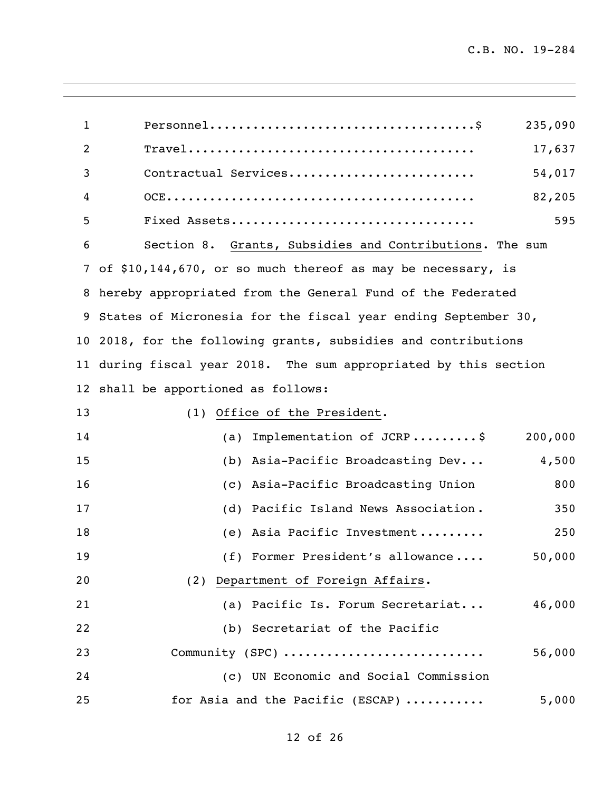|                                                                     | 235,090                                                 |
|---------------------------------------------------------------------|---------------------------------------------------------|
|                                                                     | 17,637                                                  |
| Contractual Services                                                | 54,017                                                  |
|                                                                     | 82,205                                                  |
| Fixed Assets                                                        | 595                                                     |
|                                                                     |                                                         |
| of \$10,144,670, or so much thereof as may be necessary, is<br>7    |                                                         |
| hereby appropriated from the General Fund of the Federated<br>8     |                                                         |
| States of Micronesia for the fiscal year ending September 30,<br>9  |                                                         |
| 2018, for the following grants, subsidies and contributions<br>10   |                                                         |
| during fiscal year 2018. The sum appropriated by this section<br>11 |                                                         |
| shall be apportioned as follows:<br>12                              |                                                         |
| (1) Office of the President.                                        |                                                         |
| Implementation of JCRP\$<br>(a)                                     | 200,000                                                 |
| Asia-Pacific Broadcasting Dev<br>(b)                                | 4,500                                                   |
| Asia-Pacific Broadcasting Union<br>(C)                              | 800                                                     |
| Pacific Island News Association.<br>(d)                             | 350                                                     |
| Asia Pacific Investment<br>(e)                                      | 250                                                     |
| 19<br>(f) Former President's allowance                              | 50,000                                                  |
| (2) Department of Foreign Affairs.                                  |                                                         |
| (a) Pacific Is. Forum Secretariat                                   | 46,000                                                  |
| (b) Secretariat of the Pacific                                      |                                                         |
| Community (SPC)                                                     | 56,000                                                  |
| (c) UN Economic and Social Commission                               |                                                         |
| for Asia and the Pacific (ESCAP)                                    | 5,000                                                   |
|                                                                     | Section 8. Grants, Subsidies and Contributions. The sum |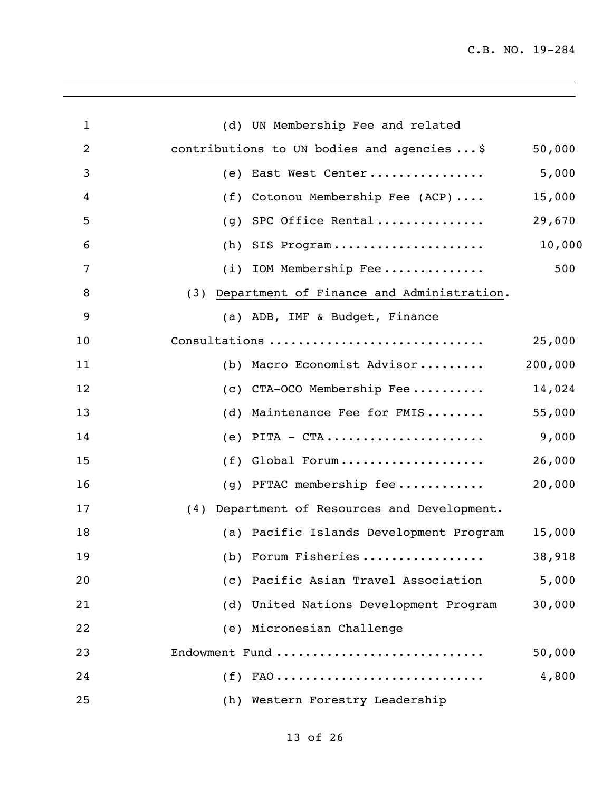| $\mathbf{1}$   | (d) UN Membership Fee and related                             |         |
|----------------|---------------------------------------------------------------|---------|
| $\overline{c}$ | contributions to UN bodies and agencies  \$                   | 50,000  |
| 3              | East West Center<br>(e)                                       | 5,000   |
| 4              | Cotonou Membership Fee (ACP)<br>(f)                           | 15,000  |
| 5              | SPC Office Rental<br>(q)                                      | 29,670  |
| 6              | SIS Program<br>(h)                                            | 10,000  |
| 7              | $(i)$ IOM Membership Fee                                      | 500     |
| 8              | Department of Finance and Administration.<br>(3)              |         |
| 9              | (a) ADB, IMF & Budget, Finance                                |         |
| 10             | Consultations                                                 | 25,000  |
| 11             | (b) Macro Economist Advisor                                   | 200,000 |
| 12             | CTA-OCO Membership Fee<br>(C)                                 | 14,024  |
| 13             | Maintenance Fee for FMIS<br>(d)                               | 55,000  |
| 14             | $PITA - CTA \ldots \ldots \ldots \ldots \ldots \ldots$<br>(e) | 9,000   |
| 15             | Global Forum<br>(f)                                           | 26,000  |
| 16             | (g) PFTAC membership fee                                      | 20,000  |
| 17             | Department of Resources and Development.<br>(4)               |         |
| 18             | (a) Pacific Islands Development Program                       | 15,000  |
| 19             | (b) Forum Fisheries                                           | 38,918  |
| 20             | (c) Pacific Asian Travel Association                          | 5,000   |
| 21             | (d) United Nations Development Program                        | 30,000  |
| 22             | (e) Micronesian Challenge                                     |         |
| 23             | Endowment Fund                                                | 50,000  |
| 24             | $(f)$ FAO                                                     | 4,800   |
| 25             | (h) Western Forestry Leadership                               |         |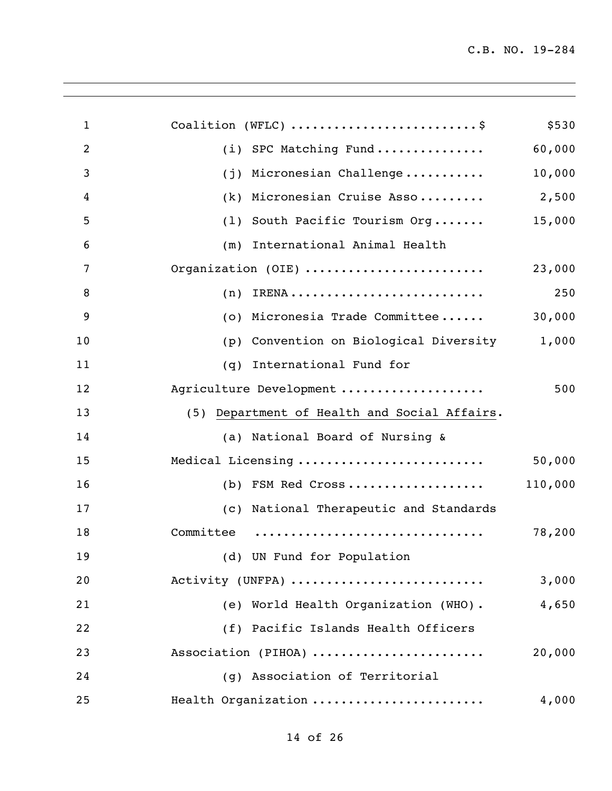| Coalition (WFLC) \$                          | \$530   |
|----------------------------------------------|---------|
| SPC Matching Fund<br>(i)                     | 60,000  |
| Micronesian Challenge<br>(i)                 | 10,000  |
| Micronesian Cruise Asso<br>(k)               | 2,500   |
| South Pacific Tourism Org<br>(1)             | 15,000  |
| International Animal Health<br>(m)           |         |
| Organization (OIE)                           | 23,000  |
| (n)                                          | 250     |
| Micronesia Trade Committee<br>(0)            | 30,000  |
| Convention on Biological Diversity<br>(p)    | 1,000   |
| International Fund for<br>(q)                |         |
| Agriculture Development                      | 500     |
| (5) Department of Health and Social Affairs. |         |
| (a) National Board of Nursing &              |         |
| Medical Licensing                            | 50,000  |
| $(b)$ FSM Red Cross                          | 110,000 |
| (c) National Therapeutic and Standards       |         |
| Committee                                    | 78,200  |
| (d) UN Fund for Population                   |         |
| Activity (UNFPA)                             | 3,000   |
| (e) World Health Organization (WHO).         | 4,650   |
| (f) Pacific Islands Health Officers          |         |
| Association (PIHOA)                          | 20,000  |
| Association of Territorial<br>(q)            |         |
| Health Organization                          | 4,000   |
|                                              |         |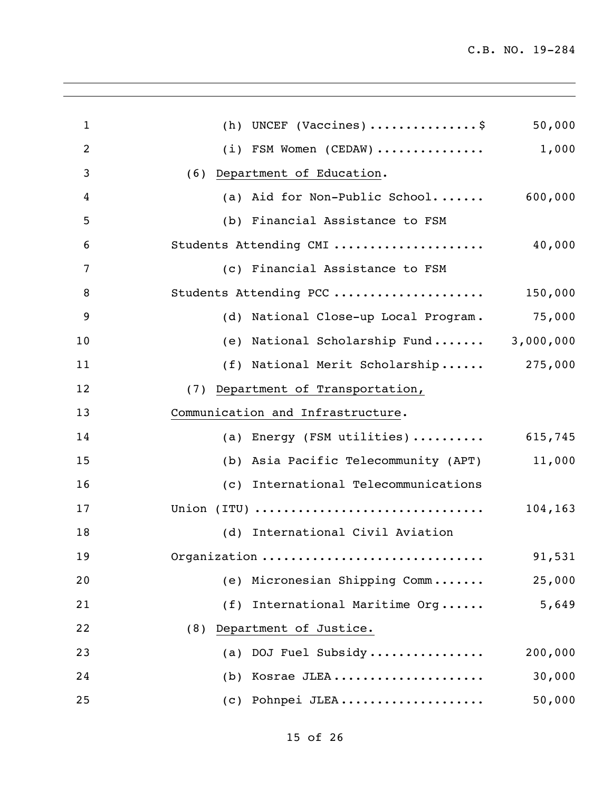| $\mathbf{1}$ | (h) UNCEF (Vaccines) \$                 | 50,000  |
|--------------|-----------------------------------------|---------|
| 2            | (i) FSM Women (CEDAW) $\ldots$ 1,000    |         |
| 3            | (6) Department of Education.            |         |
| 4            | (a) Aid for Non-Public School $600,000$ |         |
| 5            | (b) Financial Assistance to FSM         |         |
| 6            | Students Attending CMI                  | 40,000  |
| 7            | (c) Financial Assistance to FSM         |         |
| 8            | Students Attending PCC                  | 150,000 |
| 9            | (d) National Close-up Local Program.    | 75,000  |
| 10           | (e) National Scholarship Fund 3,000,000 |         |
| 11           | (f) National Merit Scholarship 275,000  |         |
| 12           | (7) Department of Transportation,       |         |
| 13           | Communication and Infrastructure.       |         |
| 14           | (a) Energy (FSM utilities)  615,745     |         |
| 15           | (b) Asia Pacific Telecommunity (APT)    | 11,000  |
| 16           | (c) International Telecommunications    |         |
| 17           | Union (ITU)                             | 104,163 |
| 18           | (d) International Civil Aviation        |         |
| 19           | Organization                            | 91,531  |
| 20           | (e) Micronesian Shipping Comm           | 25,000  |
| 21           | International Maritime Org<br>(f)       | 5,649   |
| 22           | (8) Department of Justice.              |         |
| 23           | (a) DOJ Fuel Subsidy                    | 200,000 |
| 24           | (b) Kosrae JLEA                         | 30,000  |
| 25           | (c) Pohnpei JLEA                        | 50,000  |
|              |                                         |         |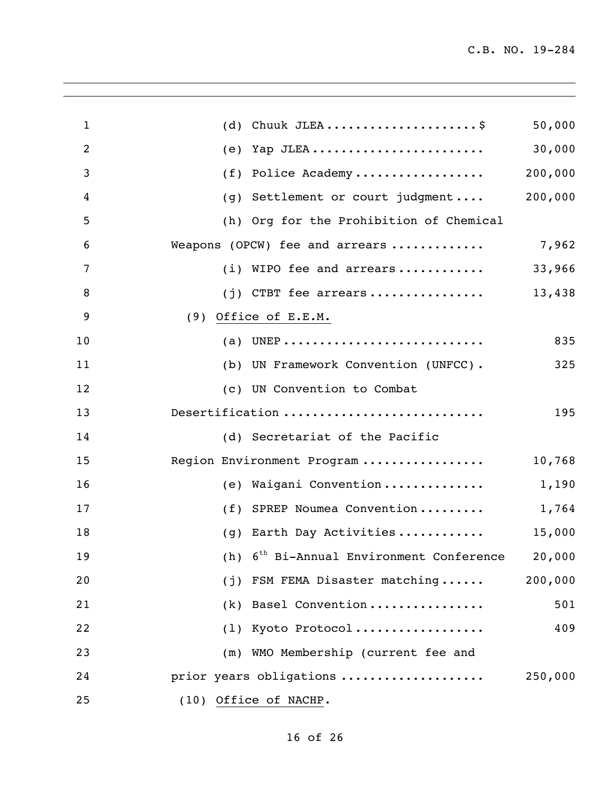| $\mathbf{1}$   |     | (d) Chuuk JLEA\$                                     | 50,000  |
|----------------|-----|------------------------------------------------------|---------|
| $\overline{2}$ | (e) | Yap JLEA                                             | 30,000  |
| $\mathbf{3}$   | (f) | Police Academy                                       | 200,000 |
| 4              | (q) | Settlement or court judgment                         | 200,000 |
| 5              |     | (h) Org for the Prohibition of Chemical              |         |
| 6              |     | Weapons (OPCW) fee and arrears                       | 7,962   |
| 7              |     | (i) WIPO fee and arrears                             | 33,966  |
| 8              |     | $(j)$ CTBT fee arrears                               | 13,438  |
| 9              |     | $(9)$ Office of E.E.M.                               |         |
| 10             |     | (a) UNEP                                             | 835     |
| 11             |     | (b) UN Framework Convention (UNFCC).                 | 325     |
| 12             |     | (c) UN Convention to Combat                          |         |
| 13             |     | Desertification                                      | 195     |
| 14             |     | (d) Secretariat of the Pacific                       |         |
| 15             |     | Region Environment Program                           | 10,768  |
| 16             |     | (e) Waigani Convention                               | 1,190   |
| 17             |     | (f) SPREP Noumea Convention                          | 1,764   |
| 18             |     | (g) Earth Day Activities                             | 15,000  |
| 19             |     | (h) $6^{th}$ Bi-Annual Environment Conference 20,000 |         |
| 20             |     | (j) FSM FEMA Disaster matching                       | 200,000 |
| 21             |     | (k) Basel Convention                                 | 501     |
| 22             |     | (1) Kyoto Protocol                                   | 409     |
| 23             |     | (m) WMO Membership (current fee and                  |         |
| 24             |     | prior years obligations                              | 250,000 |
| 25             |     | (10) Office of NACHP.                                |         |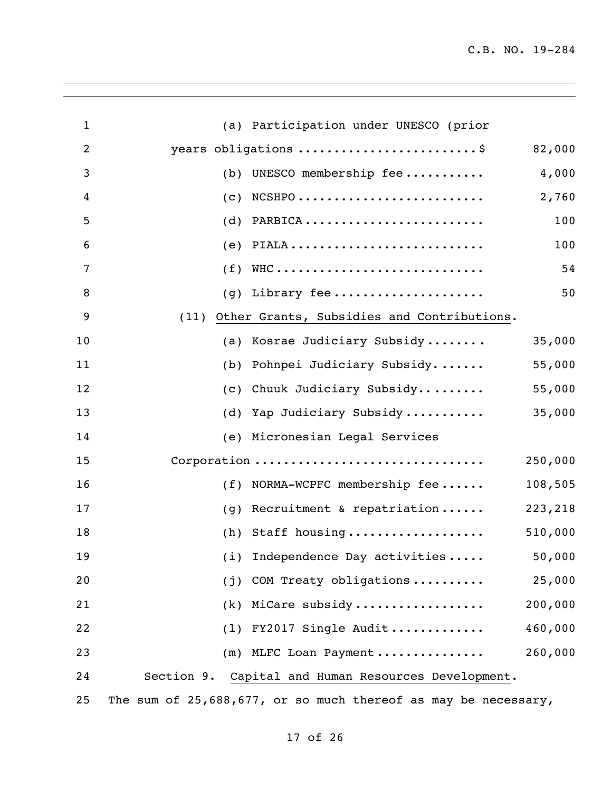| $\mathbf{1}$   |     | (a) Participation under UNESCO (prior                          |         |
|----------------|-----|----------------------------------------------------------------|---------|
| $\overline{2}$ |     | years obligations \$                                           | 82,000  |
| 3              |     | (b) UNESCO membership fee                                      | 4,000   |
| 4              |     | $(c)$ NCSHPO                                                   | 2,760   |
| 5              |     | $(d)$ PARBICA                                                  | 100     |
| 6              |     | $(e)$ PIALA                                                    | 100     |
| 7              |     | $(f)$ WHC                                                      | 54      |
| 8              |     | (g) Library fee                                                | 50      |
| 9              |     | (11) Other Grants, Subsidies and Contributions.                |         |
|                |     |                                                                |         |
| 10             |     | (a) Kosrae Judiciary Subsidy                                   | 35,000  |
| 11             |     | (b) Pohnpei Judiciary Subsidy                                  | 55,000  |
| 12             |     | (c) Chuuk Judiciary Subsidy                                    | 55,000  |
| 13             |     | (d) Yap Judiciary Subsidy                                      | 35,000  |
| 14             |     | (e) Micronesian Legal Services                                 |         |
| 15             |     | Corporation                                                    | 250,000 |
| 16             |     | (f) NORMA-WCPFC membership fee                                 | 108,505 |
| 17             | (q) | Recruitment & repatriation                                     | 223,218 |
| 18             |     | (h) Staff housing                                              | 510,000 |
| 19             |     | (i) Independence Day activities                                | 50,000  |
| 20             | (i) | COM Treaty obligations                                         | 25,000  |
| 21             | (k) | MiCare subsidy                                                 | 200,000 |
| 22             | (1) | FY2017 Single Audit                                            | 460,000 |
| 23             | (m) | MLFC Loan Payment                                              | 260,000 |
| 24             |     | Section 9. Capital and Human Resources Development.            |         |
| 25             |     | The sum of 25,688,677, or so much thereof as may be necessary, |         |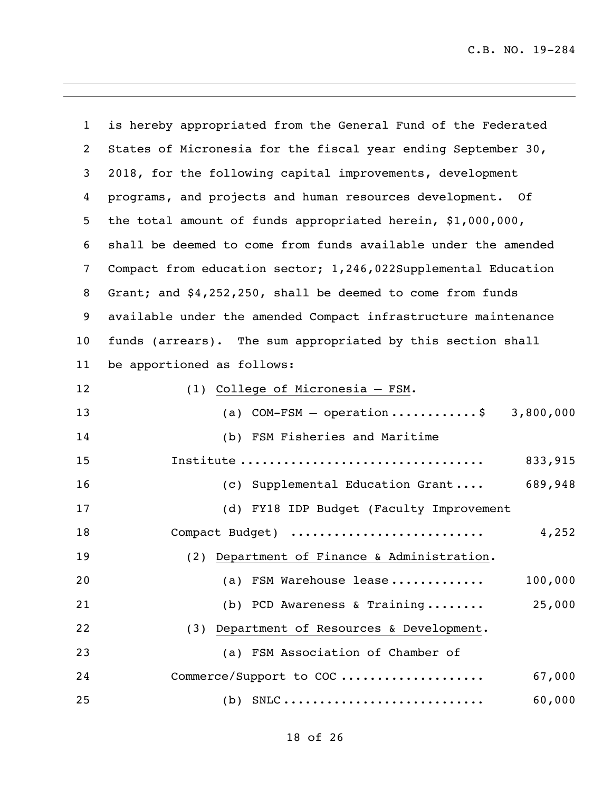| $\mathbf{1}$      | is hereby appropriated from the General Fund of the Federated  |
|-------------------|----------------------------------------------------------------|
| $\overline{2}$    | States of Micronesia for the fiscal year ending September 30,  |
| 3                 | 2018, for the following capital improvements, development      |
| 4                 | programs, and projects and human resources development. Of     |
| 5                 | the total amount of funds appropriated herein, \$1,000,000,    |
| 6                 | shall be deemed to come from funds available under the amended |
| 7                 | Compact from education sector; 1,246,022Supplemental Education |
| 8                 | Grant; and \$4,252,250, shall be deemed to come from funds     |
| 9                 | available under the amended Compact infrastructure maintenance |
| 10                | funds (arrears). The sum appropriated by this section shall    |
| 11                | be apportioned as follows:                                     |
| $12 \overline{ }$ | (1) College of Micronesia - FSM.                               |
| 13                | (a) COM-FSM - operation\$ 3,800,000                            |
| 14                | (b) FSM Fisheries and Maritime                                 |
| 15                | 833,915                                                        |
| 16                | 689,948<br>(c) Supplemental Education Grant                    |
| 17                | (d) FY18 IDP Budget (Faculty Improvement                       |
| 18                | 4,252<br>Compact Budget)                                       |
| 19                | (2) Department of Finance & Administration.                    |
| 20                | 100,000<br>(a) FSM Warehouse lease                             |
| 21                | 25,000<br>(b) PCD Awareness & Training                         |
| 22                | (3) Department of Resources & Development.                     |
| 23                | (a) FSM Association of Chamber of                              |
| 24                | Commerce/Support to COC<br>67,000                              |
| 25                | $(b)$ SNLC<br>60,000                                           |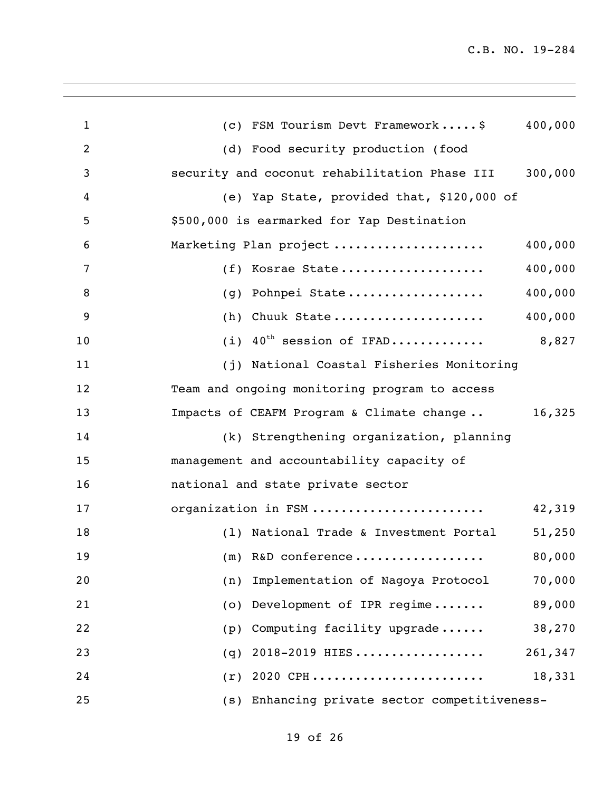| $\mathbf{1}$ | (c) FSM Tourism Devt Framework\$<br>400,000              |
|--------------|----------------------------------------------------------|
| 2            | (d) Food security production (food                       |
| 3            | 300,000<br>security and coconut rehabilitation Phase III |
| 4            | (e) Yap State, provided that, \$120,000 of               |
| 5            | \$500,000 is earmarked for Yap Destination               |
| 6            | Marketing Plan project<br>400,000                        |
| 7            | 400,000<br>(f) Kosrae State                              |
| 8            | 400,000<br>Pohnpei State<br>(q)                          |
| 9            | 400,000<br>Chuuk State<br>(h)                            |
| 10           | 40 <sup>th</sup> session of IFAD<br>8,827<br>(i)         |
| 11           | (j) National Coastal Fisheries Monitoring                |
| 12           | Team and ongoing monitoring program to access            |
| 13           | Impacts of CEAFM Program & Climate change<br>16,325      |
| 14           | (k) Strengthening organization, planning                 |
| 15           | management and accountability capacity of                |
| 16           | national and state private sector                        |
| 17           | organization in FSM<br>42,319                            |
| 18           | (1) National Trade & Investment Portal<br>51,250         |
| 19           | 80,000<br>$(m)$ R&D conference                           |
| 20           | 70,000<br>Implementation of Nagoya Protocol<br>(n)       |
| 21           | (o) Development of IPR regime<br>89,000                  |
| 22           | Computing facility upgrade<br>38,270<br>(p)              |
| 23           | 2018-2019 HIES<br>261,347<br>(q)                         |
| 24           | $(r)$ 2020 CPH<br>18,331                                 |
| 25           | (s) Enhancing private sector competitiveness-            |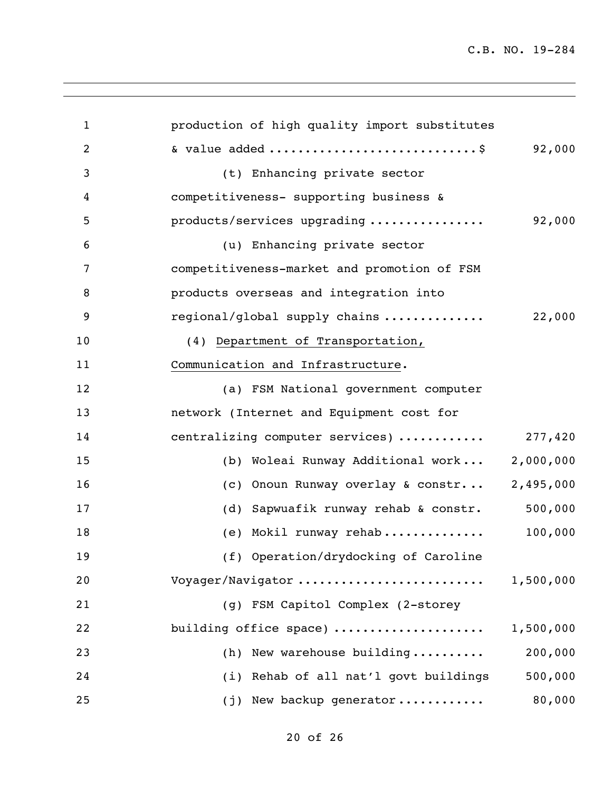| $\mathbf{1}$   | production of high quality import substitutes    |
|----------------|--------------------------------------------------|
| $\overline{2}$ | & value added \$<br>92,000                       |
| 3              | (t) Enhancing private sector                     |
| 4              | competitiveness- supporting business &           |
| 5              | 92,000<br>products/services upgrading            |
| 6              | (u) Enhancing private sector                     |
| 7              | competitiveness-market and promotion of FSM      |
| 8              | products overseas and integration into           |
| 9              | 22,000<br>regional/global supply chains          |
| 10             | (4) Department of Transportation,                |
| 11             | Communication and Infrastructure.                |
| 12             | (a) FSM National government computer             |
| 13             | network (Internet and Equipment cost for         |
| 14             | centralizing computer services)  277,420         |
| 15             | (b) Woleai Runway Additional work 2,000,000      |
| 16             | Onoun Runway overlay & constr 2,495,000<br>(C)   |
| 17             | 500,000<br>(d) Sapwuafik runway rehab & constr.  |
| 18             | 100,000<br>(e) Mokil runway rehab                |
| 19             | (f) Operation/drydocking of Caroline             |
| 20             | Voyager/Navigator<br>1,500,000                   |
| 21             | (g) FSM Capitol Complex (2-storey                |
| 22             | building office space)<br>1,500,000              |
| 23             | 200,000<br>(h) New warehouse building            |
| 24             | (i) Rehab of all nat'l govt buildings<br>500,000 |
| 25             | 80,000<br>(j) New backup generator               |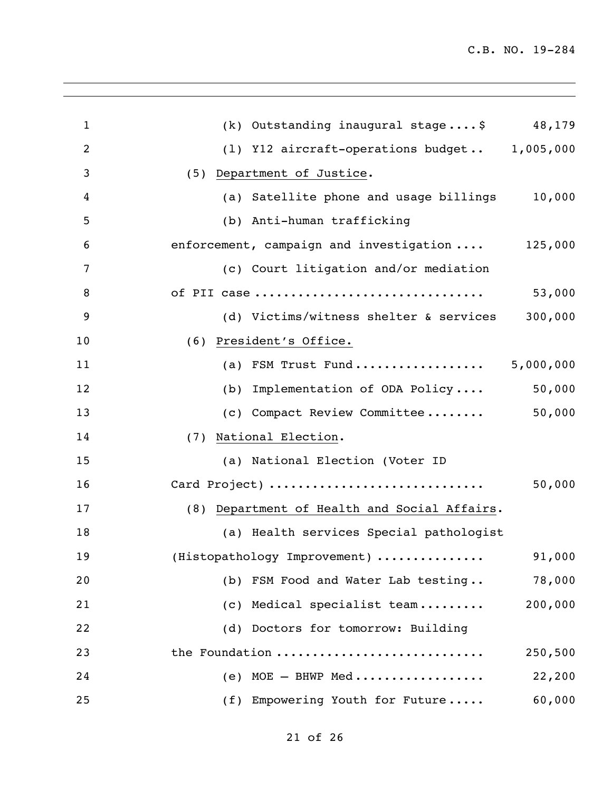| $\mathbf{1}$   | (k) Outstanding inaugural stage \$ 48,179               |         |
|----------------|---------------------------------------------------------|---------|
| $\overline{2}$ | (1) Y12 aircraft-operations budget 1,005,000            |         |
| $\mathfrak{Z}$ | (5) Department of Justice.                              |         |
| $\overline{4}$ | (a) Satellite phone and usage billings 10,000           |         |
| 5              | (b) Anti-human trafficking                              |         |
| 6              | enforcement, campaign and investigation  125,000        |         |
| $\overline{7}$ | (c) Court litigation and/or mediation                   |         |
| 8              | of PII case                                             | 53,000  |
| 9              | (d) Victims/witness shelter & services 300,000          |         |
| 10             | (6) President's Office.                                 |         |
| 11             | (a) FSM Trust Fund 5,000,000                            |         |
| 12             | (b) Implementation of ODA Policy                        | 50,000  |
| 13             | (c) Compact Review Committee 50,000                     |         |
| 14             | (7) National Election.                                  |         |
| 15             | (a) National Election (Voter ID                         |         |
| 16             | Card Project)                                           | 50,000  |
| 17             | (8) Department of Health and Social Affairs.            |         |
| 18             | (a) Health services Special pathologist                 |         |
| 19             | (Histopathology Improvement)                            | 91,000  |
| 20             | (b) FSM Food and Water Lab testing                      | 78,000  |
| 21             | (c) Medical specialist team                             | 200,000 |
| 22             | (d) Doctors for tomorrow: Building                      |         |
| 23             | the Foundation                                          | 250,500 |
| 24             | (e) $MOE - BHWP Med \ldots \ldots \ldots \ldots \ldots$ | 22,200  |
| 25             | (f) Empowering Youth for Future                         | 60,000  |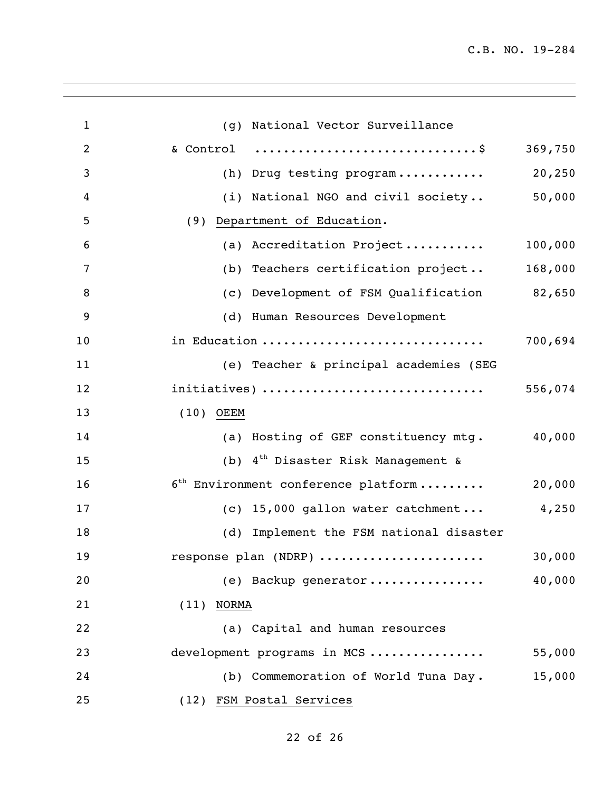| $\mathbf{1}$   | (g) National Vector Surveillance            |         |
|----------------|---------------------------------------------|---------|
| $\overline{c}$ |                                             | 369,750 |
| 3              | (h) Drug testing program                    | 20, 250 |
| 4              | (i) National NGO and civil society          | 50,000  |
| 5              | (9) Department of Education.                |         |
| 6              | (a) Accreditation Project                   | 100,000 |
| 7              | (b) Teachers certification project          | 168,000 |
| 8              | (c) Development of FSM Qualification 82,650 |         |
| 9              | (d) Human Resources Development             |         |
| 10             | in Education                                | 700,694 |
| 11             | (e) Teacher & principal academies (SEG      |         |
| 12             | initiatives)                                | 556,074 |
| 13             | $(10)$ OEEM                                 |         |
| 14             | (a) Hosting of GEF constituency mtg.        | 40,000  |
| 15             | (b) $4^{th}$ Disaster Risk Management &     |         |
| 16             | $6^{th}$ Environment conference platform    | 20,000  |
| 17             | (c) 15,000 gallon water catchment           | 4,250   |
| 18             | (d) Implement the FSM national disaster     |         |
| 19             | response plan (NDRP)                        | 30,000  |
| 20             | (e) Backup generator                        | 40,000  |
| 21             | $(11)$ NORMA                                |         |
| 22             | (a) Capital and human resources             |         |
| 23             | development programs in MCS                 | 55,000  |
| 24             | (b) Commemoration of World Tuna Day.        | 15,000  |
| 25             | (12) FSM Postal Services                    |         |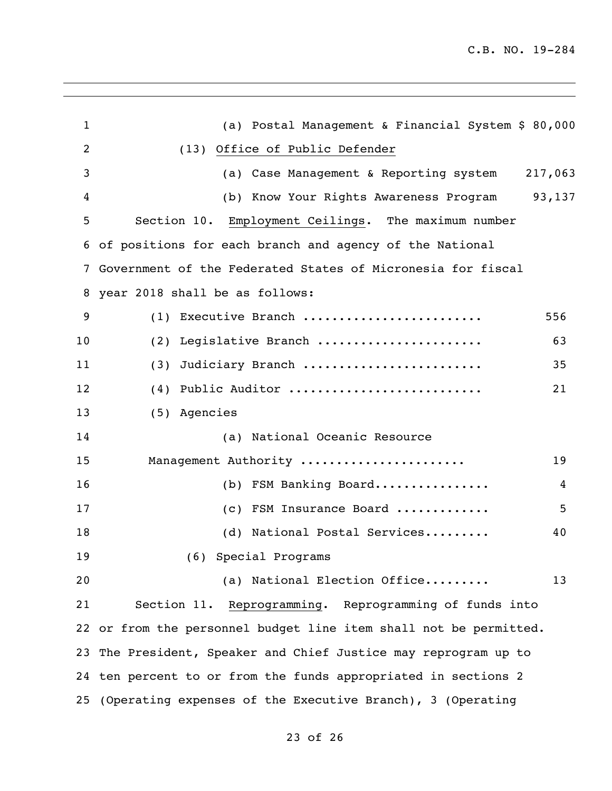| $\mathbf{1}$   | (a) Postal Management & Financial System \$ 80,000                |     |
|----------------|-------------------------------------------------------------------|-----|
| $\overline{2}$ | (13) Office of Public Defender                                    |     |
| 3              | (a) Case Management & Reporting system 217,063                    |     |
| 4              | (b) Know Your Rights Awareness Program 93,137                     |     |
| 5              | Section 10. Employment Ceilings. The maximum number               |     |
|                | 6 of positions for each branch and agency of the National         |     |
| 7              | Government of the Federated States of Micronesia for fiscal       |     |
| 8              | year 2018 shall be as follows:                                    |     |
| 9              | (1) Executive Branch                                              | 556 |
| 10             | (2) Legislative Branch                                            | 63  |
| 11             | Judiciary Branch<br>(3)                                           | 35  |
| 12             | (4) Public Auditor                                                | 21  |
| 13             | (5) Agencies                                                      |     |
| 14             | (a) National Oceanic Resource                                     |     |
| 15             | Management Authority                                              | 19  |
| 16             | (b) FSM Banking Board                                             | 4   |
| 17             | (c) FSM Insurance Board                                           | 5   |
| 18             | (d) National Postal Services                                      | 40  |
| 19             | (6) Special Programs                                              |     |
| 20             | (a) National Election Office                                      | 13  |
| 21             | Section 11. Reprogramming. Reprogramming of funds into            |     |
|                | 22 or from the personnel budget line item shall not be permitted. |     |
|                | 23 The President, Speaker and Chief Justice may reprogram up to   |     |
|                | 24 ten percent to or from the funds appropriated in sections 2    |     |
|                | 25 (Operating expenses of the Executive Branch), 3 (Operating     |     |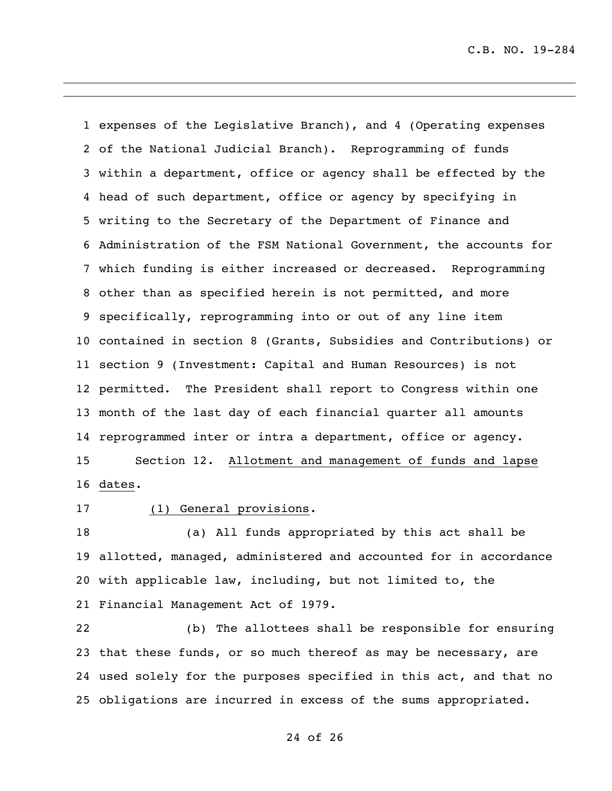expenses of the Legislative Branch), and 4 (Operating expenses of the National Judicial Branch). Reprogramming of funds within a department, office or agency shall be effected by the head of such department, office or agency by specifying in writing to the Secretary of the Department of Finance and Administration of the FSM National Government, the accounts for which funding is either increased or decreased. Reprogramming other than as specified herein is not permitted, and more specifically, reprogramming into or out of any line item contained in section 8 (Grants, Subsidies and Contributions) or section 9 (Investment: Capital and Human Resources) is not permitted. The President shall report to Congress within one month of the last day of each financial quarter all amounts reprogrammed inter or intra a department, office or agency. Section 12. Allotment and management of funds and lapse dates.

#### (1) General provisions.

 (a) All funds appropriated by this act shall be allotted, managed, administered and accounted for in accordance with applicable law, including, but not limited to, the Financial Management Act of 1979.

 (b) The allottees shall be responsible for ensuring that these funds, or so much thereof as may be necessary, are used solely for the purposes specified in this act, and that no obligations are incurred in excess of the sums appropriated.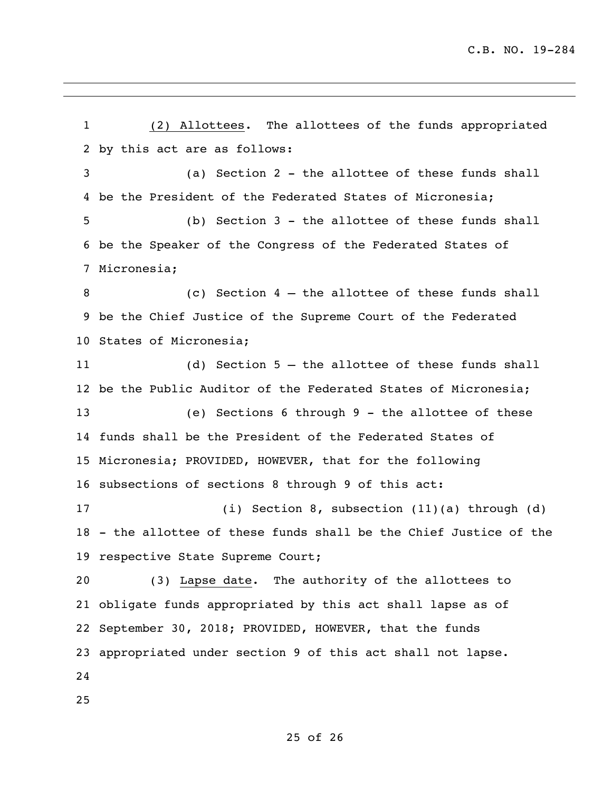(2) Allottees. The allottees of the funds appropriated by this act are as follows: (a) Section 2 - the allottee of these funds shall be the President of the Federated States of Micronesia; (b) Section 3 - the allottee of these funds shall be the Speaker of the Congress of the Federated States of Micronesia; (c) Section 4 – the allottee of these funds shall be the Chief Justice of the Supreme Court of the Federated States of Micronesia; (d) Section 5 – the allottee of these funds shall be the Public Auditor of the Federated States of Micronesia; (e) Sections 6 through 9 - the allottee of these funds shall be the President of the Federated States of Micronesia; PROVIDED, HOWEVER, that for the following subsections of sections 8 through 9 of this act: (i) Section 8, subsection (11)(a) through (d) - the allottee of these funds shall be the Chief Justice of the respective State Supreme Court; (3) Lapse date. The authority of the allottees to obligate funds appropriated by this act shall lapse as of September 30, 2018; PROVIDED, HOWEVER, that the funds appropriated under section 9 of this act shall not lapse.